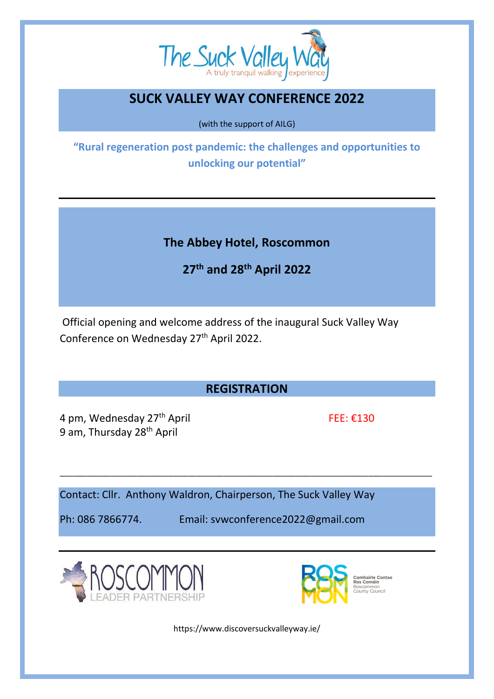

## **SUCK VALLEY WAY CONFERENCE 2022**

(with the support of AILG)

**"Rural regeneration post pandemic: the challenges and opportunities to unlocking our potential"**

**The Abbey Hotel, Roscommon**

**27th and 28th April 2022**

Official opening and welcome address of the inaugural Suck Valley Way Conference on Wednesday 27th April 2022.

## **REGISTRATION**

\_\_\_\_\_\_\_\_\_\_\_\_\_\_\_\_\_\_\_\_\_\_\_\_\_\_\_\_\_\_\_\_\_\_\_\_\_\_\_\_\_\_\_\_\_\_\_\_\_\_\_\_\_\_\_\_\_\_\_\_\_\_\_\_\_\_\_\_\_\_\_\_\_\_\_\_\_\_\_\_\_\_

4 pm, Wednesday  $27<sup>th</sup>$  April FEE:  $\epsilon$ 130 9 am, Thursday 28<sup>th</sup> April

Contact: Cllr. Anthony Waldron, Chairperson, The Suck Valley Way

Ph: 086 7866774. Email: svwconference2022@gmail.com





https://www.discoversuckvalleyway.ie/